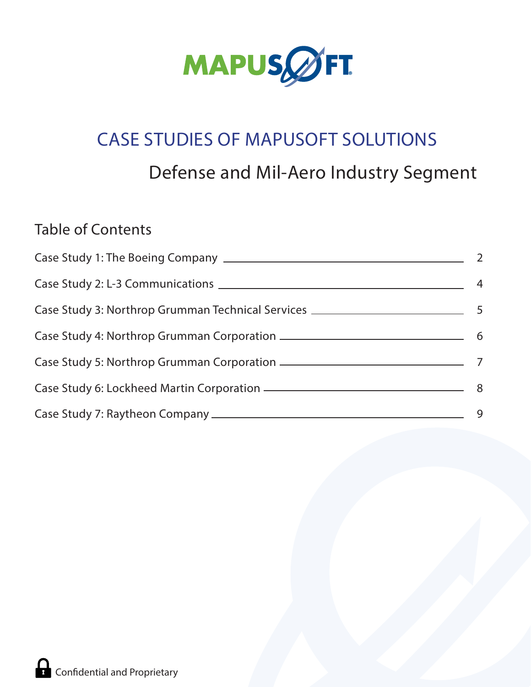

# CASE STUDIES OF MAPUSOFT SOLUTIONS Defense and Mil-Aero Industry Segment

# **Table of Contents**

| $\overline{\phantom{0}}$ |
|--------------------------|
| $\overline{4}$           |
|                          |
|                          |
|                          |
|                          |
| 9                        |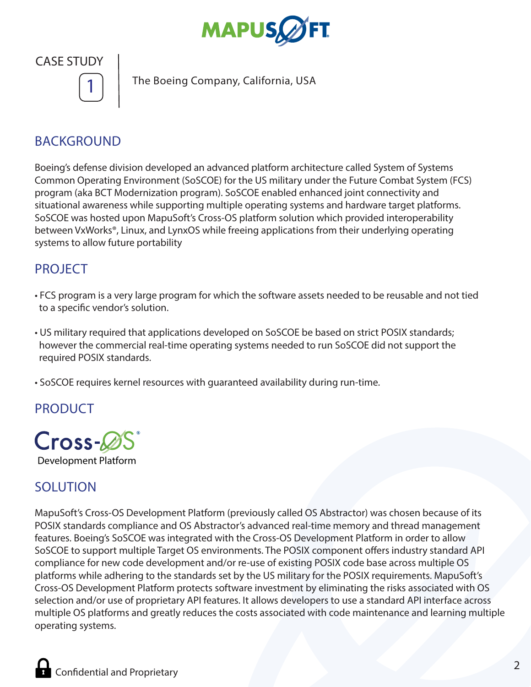



**The Boeing Company, California, USA 1**

# BACKGROUND

Boeing's defense division developed an advanced platform architecture called System of Systems Common Operating Environment (SoSCOE) for the US military under the Future Combat System (FCS) program (aka BCT Modernization program). SoSCOE enabled enhanced joint connectivity and situational awareness while supporting multiple operating systems and hardware target platforms. SoSCOE was hosted upon MapuSoft's Cross-OS platform solution which provided interoperability between VxWorks®, Linux, and LynxOS while freeing applications from their underlying operating systems to allow future portability

## **PROJECT**

- FCS program is a very large program for which the software assets needed to be reusable and not tied to a specific vendor's solution.
- US military required that applications developed on SoSCOE be based on strict POSIX standards; however the commercial real-time operating systems needed to run SoSCOE did not support the required POSIX standards.
- SoSCOE requires kernel resources with guaranteed availability during run-time.

## PRODUCT



## SOLUTION

MapuSoft's Cross-OS Development Platform (previously called OS Abstractor) was chosen because of its POSIX standards compliance and OS Abstractor's advanced real-time memory and thread management features. Boeing's SoSCOE was integrated with the Cross-OS Development Platform in order to allow SoSCOE to support multiple Target OS environments. The POSIX component offers industry standard API compliance for new code development and/or re-use of existing POSIX code base across multiple OS platforms while adhering to the standards set by the US military for the POSIX requirements. MapuSoft's Cross-OS Development Platform protects software investment by eliminating the risks associated with OS selection and/or use of proprietary API features. It allows developers to use a standard API interface across multiple OS platforms and greatly reduces the costs associated with code maintenance and learning multiple operating systems.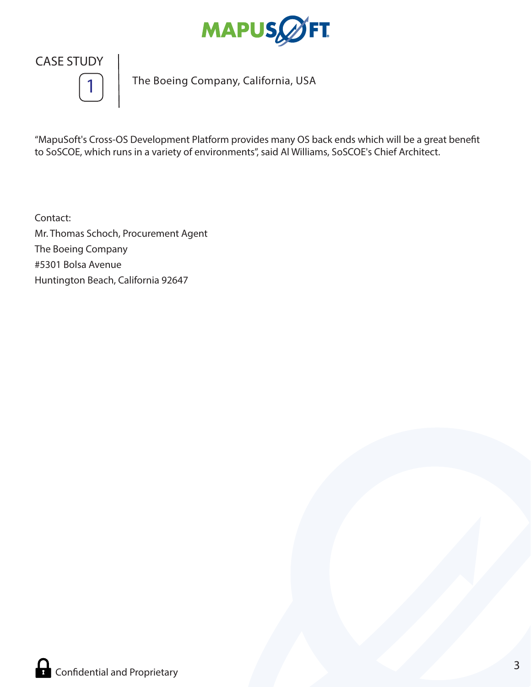



**The Boeing Company, California, USA 1**

"MapuSoft's Cross-OS Development Platform provides many OS back ends which will be a great benefit to SoSCOE, which runs in a variety of environments", said Al Williams, SoSCOE's Chief Architect.

Contact: Mr. Thomas Schoch, Procurement Agent The Boeing Company #5301 Bolsa Avenue Huntington Beach, California 92647

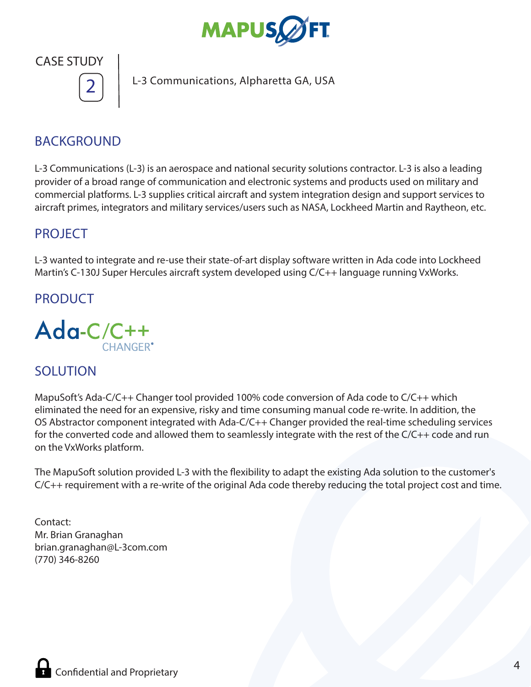



**L-3 Communications, Alpharetta GA, USA 2**

# BACKGROUND

L-3 Communications (L-3) is an aerospace and national security solutions contractor. L-3 is also a leading provider of a broad range of communication and electronic systems and products used on military and commercial platforms. L-3 supplies critical aircraft and system integration design and support services to aircraft primes, integrators and military services/users such as NASA, Lockheed Martin and Raytheon, etc.

## PROJECT

L-3 wanted to integrate and re-use their state-of-art display software written in Ada code into Lockheed Martin's C-130J Super Hercules aircraft system developed using C/C++ language running VxWorks.

#### PRODUCT



## SOLUTION

MapuSoft's Ada-C/C++ Changer tool provided 100% code conversion of Ada code to C/C++ which eliminated the need for an expensive, risky and time consuming manual code re-write. In addition, the OS Abstractor component integrated with Ada-C/C++ Changer provided the real-time scheduling services for the converted code and allowed them to seamlessly integrate with the rest of the C/C++ code and run on the VxWorks platform.

The MapuSoft solution provided L-3 with the flexibility to adapt the existing Ada solution to the customer's C/C++ requirement with a re-write of the original Ada code thereby reducing the total project cost and time.

Contact: Mr. Brian Granaghan brian.granaghan@L-3com.com (770) 346-8260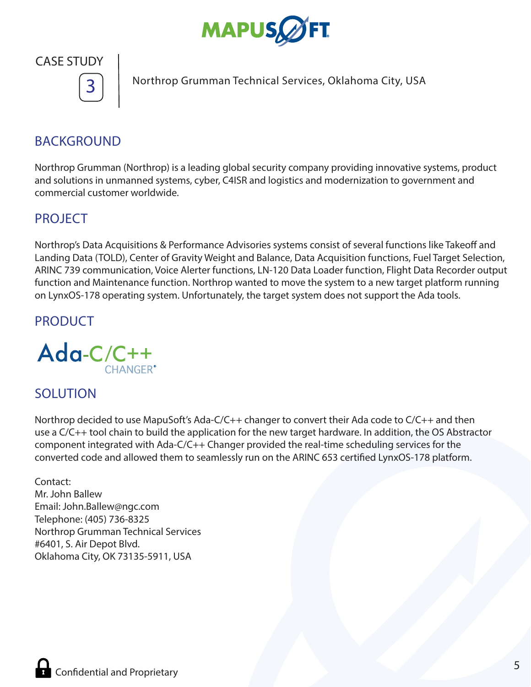



**Northrop Grumman Technical Services, Oklahoma City, USA 3**

# BACKGROUND

Northrop Grumman (Northrop) is a leading global security company providing innovative systems, product and solutions in unmanned systems, cyber, C4ISR and logistics and modernization to government and commercial customer worldwide.

## PROJECT

Northrop's Data Acquisitions & Performance Advisories systems consist of several functions like Takeoff and Landing Data (TOLD), Center of Gravity Weight and Balance, Data Acquisition functions, Fuel Target Selection, ARINC 739 communication, Voice Alerter functions, LN-120 Data Loader function, Flight Data Recorder output function and Maintenance function. Northrop wanted to move the system to a new target platform running on LynxOS-178 operating system. Unfortunately, the target system does not support the Ada tools.

# PRODUCT



## SOLUTION

Northrop decided to use MapuSoft's Ada-C/C++ changer to convert their Ada code to C/C++ and then use a C/C++ tool chain to build the application for the new target hardware. In addition, the OS Abstractor component integrated with Ada-C/C++ Changer provided the real-time scheduling services for the converted code and allowed them to seamlessly run on the ARINC 653 certified LynxOS-178 platform.

#### Contact: Mr. John Ballew Email: John.Ballew@ngc.com Telephone: (405) 736-8325 Northrop Grumman Technical Services #6401, S. Air Depot Blvd. Oklahoma City, OK 73135-5911, USA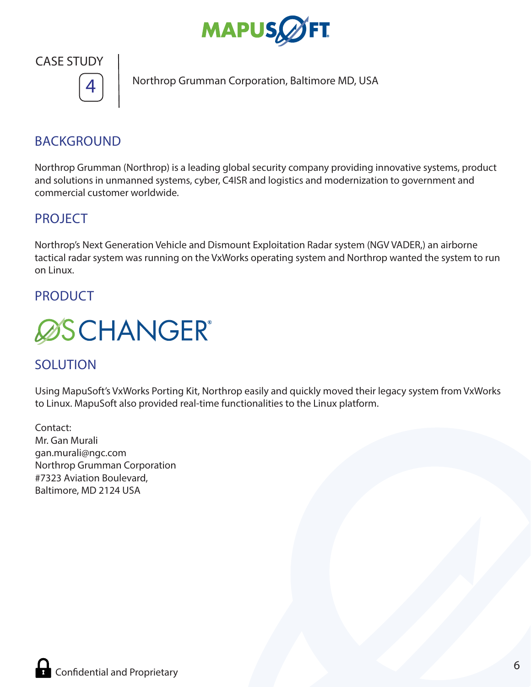



**Northrop Grumman Corporation, Baltimore MD, USA 4**

# BACKGROUND

Northrop Grumman (Northrop) is a leading global security company providing innovative systems, product and solutions in unmanned systems, cyber, C4ISR and logistics and modernization to government and commercial customer worldwide.

### PROJECT

Northrop's Next Generation Vehicle and Dismount Exploitation Radar system (NGV VADER,) an airborne tactical radar system was running on the VxWorks operating system and Northrop wanted the system to run on Linux.

#### PRODUCT



## **SOLUTION**

Using MapuSoft's VxWorks Porting Kit, Northrop easily and quickly moved their legacy system from VxWorks to Linux. MapuSoft also provided real-time functionalities to the Linux platform.

Contact: Mr. Gan Murali gan.murali@ngc.com Northrop Grumman Corporation #7323 Aviation Boulevard, Baltimore, MD 2124 USA

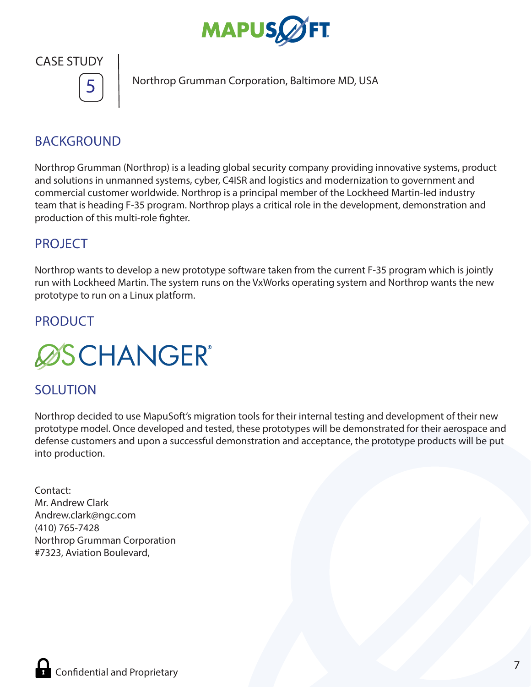



**Northrop Grumman Corporation, Baltimore MD, USA 5**

# BACKGROUND

Northrop Grumman (Northrop) is a leading global security company providing innovative systems, product and solutions in unmanned systems, cyber, C4ISR and logistics and modernization to government and commercial customer worldwide. Northrop is a principal member of the Lockheed Martin-led industry team that is heading F-35 program. Northrop plays a critical role in the development, demonstration and production of this multi-role fighter.

## PROJECT

Northrop wants to develop a new prototype software taken from the current F-35 program which is jointly run with Lockheed Martin. The system runs on the VxWorks operating system and Northrop wants the new prototype to run on a Linux platform.

## **PRODUCT**



# SOLUTION

Northrop decided to use MapuSoft's migration tools for their internal testing and development of their new prototype model. Once developed and tested, these prototypes will be demonstrated for their aerospace and defense customers and upon a successful demonstration and acceptance, the prototype products will be put into production.

Contact: Mr. Andrew Clark Andrew.clark@ngc.com (410) 765-7428 Northrop Grumman Corporation #7323, Aviation Boulevard,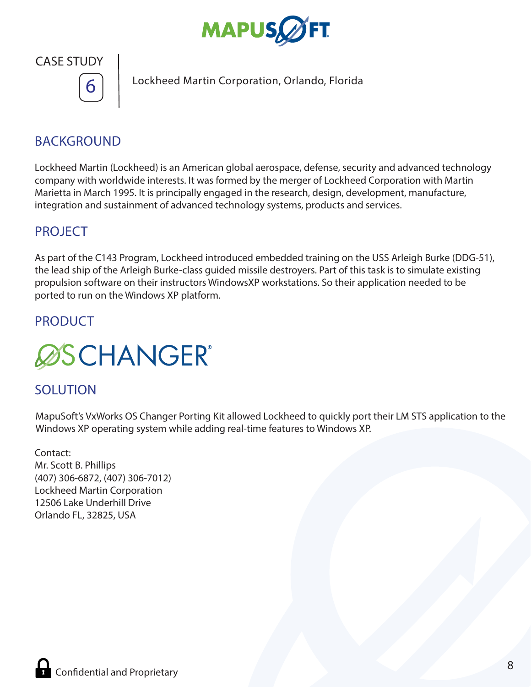



**Lockheed Martin Corporation, Orlando, Florida 6**

# BACKGROUND

Lockheed Martin (Lockheed) is an American global aerospace, defense, security and advanced technology company with worldwide interests. It was formed by the merger of Lockheed Corporation with Martin Marietta in March 1995. It is principally engaged in the research, design, development, manufacture, integration and sustainment of advanced technology systems, products and services.

#### PROJECT

As part of the C143 Program, Lockheed introduced embedded training on the USS Arleigh Burke (DDG-51), the lead ship of the Arleigh Burke-class guided missile destroyers. Part of this task is to simulate existing propulsion software on their instructors WindowsXP workstations. So their application needed to be ported to run on the Windows XP platform.

## **PRODUCT**



## SOLUTION

MapuSoft's VxWorks OS Changer Porting Kit allowed Lockheed to quickly port their LM STS application to the Windows XP operating system while adding real-time features to Windows XP.

Contact: Mr. Scott B. Phillips (407) 306-6872, (407) 306-7012) Lockheed Martin Corporation 12506 Lake Underhill Drive Orlando FL, 32825, USA